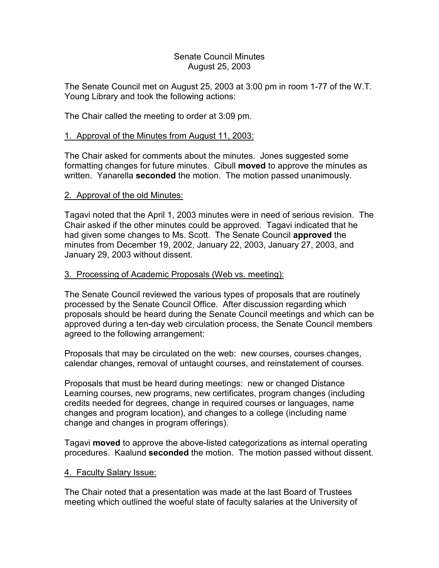### Senate Council Minutes August 25, 2003

The Senate Council met on August 25, 2003 at 3:00 pm in room 1-77 of the W.T. Young Library and took the following actions:

The Chair called the meeting to order at 3:09 pm.

# 1. Approval of the Minutes from August 11, 2003:

The Chair asked for comments about the minutes. Jones suggested some formatting changes for future minutes. Cibull **moved** to approve the minutes as written. Yanarella **seconded** the motion. The motion passed unanimously.

## 2. Approval of the old Minutes:

Tagavi noted that the April 1, 2003 minutes were in need of serious revision. The Chair asked if the other minutes could be approved. Tagavi indicated that he had given some changes to Ms. Scott. The Senate Council **approved** the minutes from December 19, 2002, January 22, 2003, January 27, 2003, and January 29, 2003 without dissent.

## 3. Processing of Academic Proposals (Web vs. meeting):

The Senate Council reviewed the various types of proposals that are routinely processed by the Senate Council Office. After discussion regarding which proposals should be heard during the Senate Council meetings and which can be approved during a ten-day web circulation process, the Senate Council members agreed to the following arrangement:

Proposals that may be circulated on the web: new courses, courses changes, calendar changes, removal of untaught courses, and reinstatement of courses.

Proposals that must be heard during meetings: new or changed Distance Learning courses, new programs, new certificates, program changes (including credits needed for degrees, change in required courses or languages, name changes and program location), and changes to a college (including name change and changes in program offerings).

Tagavi **moved** to approve the above-listed categorizations as internal operating procedures. Kaalund **seconded** the motion. The motion passed without dissent.

### 4. Faculty Salary Issue:

The Chair noted that a presentation was made at the last Board of Trustees meeting which outlined the woeful state of faculty salaries at the University of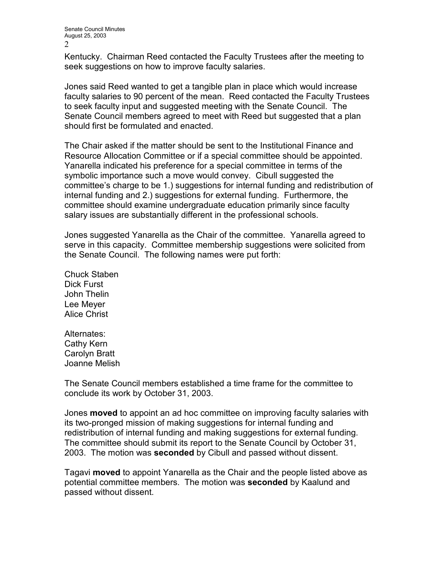Kentucky. Chairman Reed contacted the Faculty Trustees after the meeting to seek suggestions on how to improve faculty salaries.

Jones said Reed wanted to get a tangible plan in place which would increase faculty salaries to 90 percent of the mean. Reed contacted the Faculty Trustees to seek faculty input and suggested meeting with the Senate Council. The Senate Council members agreed to meet with Reed but suggested that a plan should first be formulated and enacted.

The Chair asked if the matter should be sent to the Institutional Finance and Resource Allocation Committee or if a special committee should be appointed. Yanarella indicated his preference for a special committee in terms of the symbolic importance such a move would convey. Cibull suggested the committee's charge to be 1.) suggestions for internal funding and redistribution of internal funding and 2.) suggestions for external funding. Furthermore, the committee should examine undergraduate education primarily since faculty salary issues are substantially different in the professional schools.

Jones suggested Yanarella as the Chair of the committee. Yanarella agreed to serve in this capacity. Committee membership suggestions were solicited from the Senate Council. The following names were put forth:

Chuck Staben Dick Furst John Thelin Lee Meyer Alice Christ

Alternates: Cathy Kern Carolyn Bratt Joanne Melish

The Senate Council members established a time frame for the committee to conclude its work by October 31, 2003.

Jones **moved** to appoint an ad hoc committee on improving faculty salaries with its two-pronged mission of making suggestions for internal funding and redistribution of internal funding and making suggestions for external funding. The committee should submit its report to the Senate Council by October 31, 2003. The motion was **seconded** by Cibull and passed without dissent.

Tagavi **moved** to appoint Yanarella as the Chair and the people listed above as potential committee members. The motion was **seconded** by Kaalund and passed without dissent.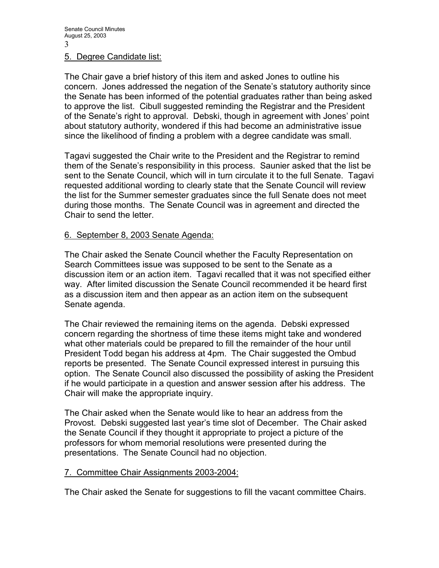#### 5. Degree Candidate list:

The Chair gave a brief history of this item and asked Jones to outline his concern. Jones addressed the negation of the Senate's statutory authority since the Senate has been informed of the potential graduates rather than being asked to approve the list. Cibull suggested reminding the Registrar and the President of the Senate's right to approval. Debski, though in agreement with Jones' point about statutory authority, wondered if this had become an administrative issue since the likelihood of finding a problem with a degree candidate was small.

Tagavi suggested the Chair write to the President and the Registrar to remind them of the Senate's responsibility in this process. Saunier asked that the list be sent to the Senate Council, which will in turn circulate it to the full Senate. Tagavi requested additional wording to clearly state that the Senate Council will review the list for the Summer semester graduates since the full Senate does not meet during those months. The Senate Council was in agreement and directed the Chair to send the letter.

### 6. September 8, 2003 Senate Agenda:

The Chair asked the Senate Council whether the Faculty Representation on Search Committees issue was supposed to be sent to the Senate as a discussion item or an action item. Tagavi recalled that it was not specified either way. After limited discussion the Senate Council recommended it be heard first as a discussion item and then appear as an action item on the subsequent Senate agenda.

The Chair reviewed the remaining items on the agenda. Debski expressed concern regarding the shortness of time these items might take and wondered what other materials could be prepared to fill the remainder of the hour until President Todd began his address at 4pm. The Chair suggested the Ombud reports be presented. The Senate Council expressed interest in pursuing this option. The Senate Council also discussed the possibility of asking the President if he would participate in a question and answer session after his address. The Chair will make the appropriate inquiry.

The Chair asked when the Senate would like to hear an address from the Provost. Debski suggested last year's time slot of December. The Chair asked the Senate Council if they thought it appropriate to project a picture of the professors for whom memorial resolutions were presented during the presentations. The Senate Council had no objection.

### 7. Committee Chair Assignments 2003-2004:

The Chair asked the Senate for suggestions to fill the vacant committee Chairs.